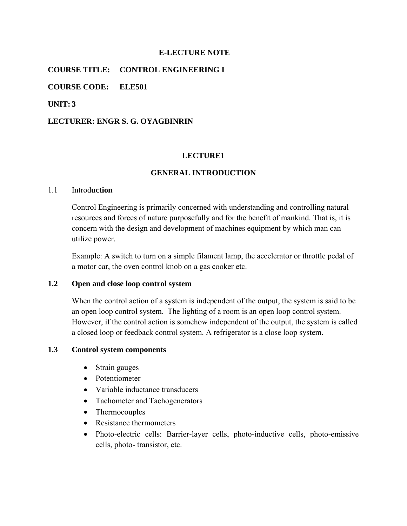#### **E-LECTURE NOTE**

**COURSE TITLE: CONTROL ENGINEERING I** 

**COURSE CODE: ELE501** 

**UNIT: 3** 

#### **LECTURER: ENGR S. G. OYAGBINRIN**

#### **LECTURE1**

## **GENERAL INTRODUCTION**

#### 1.1 Introd**uction**

Control Engineering is primarily concerned with understanding and controlling natural resources and forces of nature purposefully and for the benefit of mankind. That is, it is concern with the design and development of machines equipment by which man can utilize power.

Example: A switch to turn on a simple filament lamp, the accelerator or throttle pedal of a motor car, the oven control knob on a gas cooker etc.

#### **1.2 Open and close loop control system**

When the control action of a system is independent of the output, the system is said to be an open loop control system. The lighting of a room is an open loop control system. However, if the control action is somehow independent of the output, the system is called a closed loop or feedback control system. A refrigerator is a close loop system.

#### **1.3 Control system components**

- Strain gauges
- Potentiometer
- Variable inductance transducers
- Tachometer and Tachogenerators
- Thermocouples
- Resistance thermometers
- Photo-electric cells: Barrier-layer cells, photo-inductive cells, photo-emissive cells, photo- transistor, etc.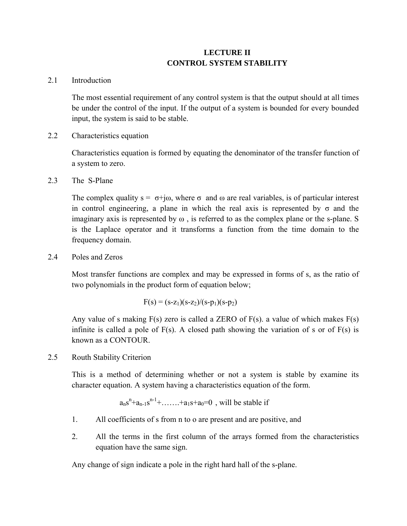# **LECTURE II CONTROL SYSTEM STABILITY**

## 2.1 Introduction

The most essential requirement of any control system is that the output should at all times be under the control of the input. If the output of a system is bounded for every bounded input, the system is said to be stable.

2.2 Characteristics equation

Characteristics equation is formed by equating the denominator of the transfer function of a system to zero.

2.3 The S-Plane

The complex quality  $s = \sigma + j\omega$ , where  $\sigma$  and  $\omega$  are real variables, is of particular interest in control engineering, a plane in which the real axis is represented by  $\sigma$  and the imaginary axis is represented by  $\omega$ , is referred to as the complex plane or the s-plane. S is the Laplace operator and it transforms a function from the time domain to the frequency domain.

2.4 Poles and Zeros

Most transfer functions are complex and may be expressed in forms of s, as the ratio of two polynomials in the product form of equation below;

$$
F(s) = (s-z_1)(s-z_2)/(s-p_1)(s-p_2)
$$

Any value of s making  $F(s)$  zero is called a ZERO of  $F(s)$ . a value of which makes  $F(s)$ infinite is called a pole of  $F(s)$ . A closed path showing the variation of s or of  $F(s)$  is known as a CONTOUR.

2.5 Routh Stability Criterion

This is a method of determining whether or not a system is stable by examine its character equation. A system having a characteristics equation of the form.

$$
a_ns^n+a_{n-1}s^{n-1}+\ldots\ldots+a_1s+a_0=0\ \, ,\,\, \text{will be stable if}
$$

- 1. All coefficients of s from n to o are present and are positive, and
- 2. All the terms in the first column of the arrays formed from the characteristics equation have the same sign.

Any change of sign indicate a pole in the right hard hall of the s-plane.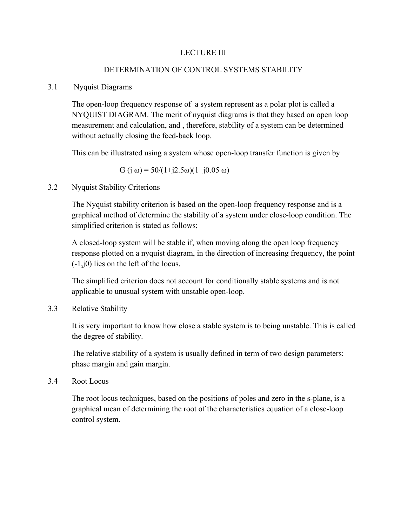## LECTURE III

# DETERMINATION OF CONTROL SYSTEMS STABILITY

## 3.1 Nyquist Diagrams

The open-loop frequency response of a system represent as a polar plot is called a NYQUIST DIAGRAM. The merit of nyquist diagrams is that they based on open loop measurement and calculation, and , therefore, stability of a system can be determined without actually closing the feed-back loop.

This can be illustrated using a system whose open-loop transfer function is given by

$$
G (j \omega) = 50/(1+j2.5\omega)(1+j0.05 \omega)
$$

# 3.2 Nyquist Stability Criterions

The Nyquist stability criterion is based on the open-loop frequency response and is a graphical method of determine the stability of a system under close-loop condition. The simplified criterion is stated as follows;

A closed-loop system will be stable if, when moving along the open loop frequency response plotted on a nyquist diagram, in the direction of increasing frequency, the point (-1,j0) lies on the left of the locus.

The simplified criterion does not account for conditionally stable systems and is not applicable to unusual system with unstable open-loop.

3.3 Relative Stability

It is very important to know how close a stable system is to being unstable. This is called the degree of stability.

The relative stability of a system is usually defined in term of two design parameters; phase margin and gain margin.

#### 3.4 Root Locus

The root locus techniques, based on the positions of poles and zero in the s-plane, is a graphical mean of determining the root of the characteristics equation of a close-loop control system.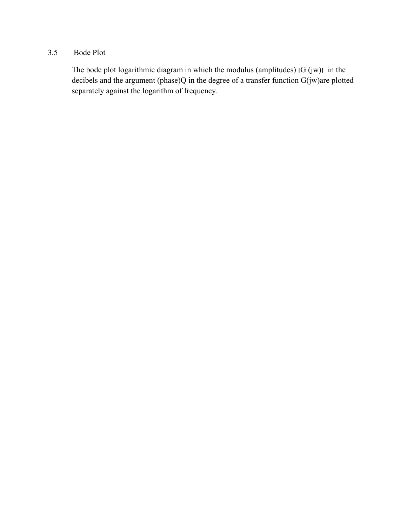# 3.5 Bode Plot

The bode plot logarithmic diagram in which the modulus (amplitudes)  $|G (jw)|$  in the decibels and the argument (phase)Q in the degree of a transfer function G(jw)are plotted separately against the logarithm of frequency.